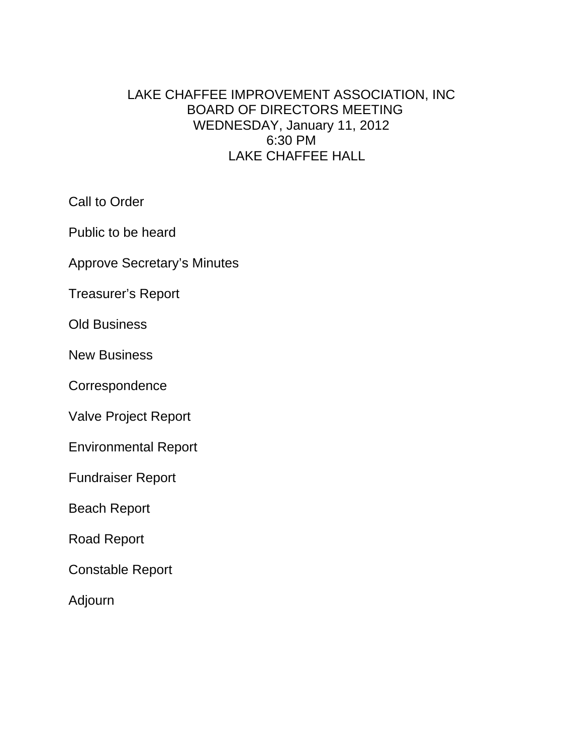# LAKE CHAFFEE IMPROVEMENT ASSOCIATION, INC BOARD OF DIRECTORS MEETING WEDNESDAY, January 11, 2012 6:30 PM LAKE CHAFFEE HALL

Call to Order

Public to be heard

Approve Secretary's Minutes

Treasurer's Report

Old Business

New Business

**Correspondence** 

Valve Project Report

Environmental Report

Fundraiser Report

Beach Report

Road Report

Constable Report

Adjourn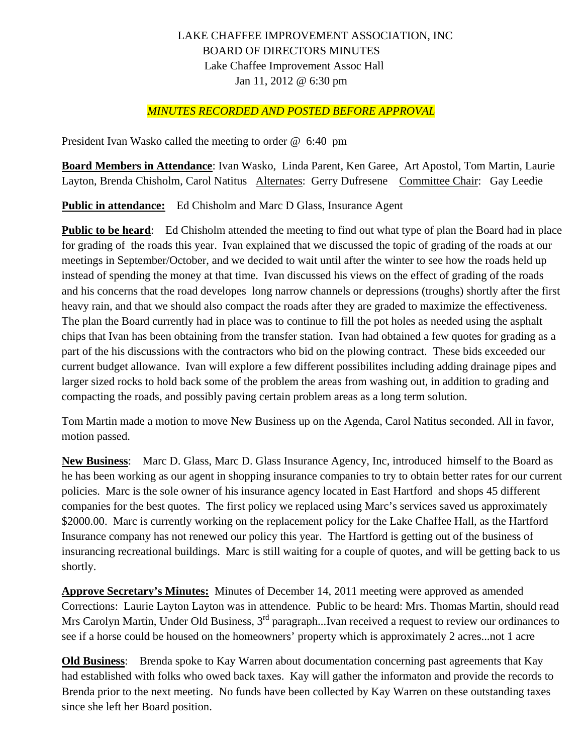## LAKE CHAFFEE IMPROVEMENT ASSOCIATION, INC BOARD OF DIRECTORS MINUTES Lake Chaffee Improvement Assoc Hall Jan 11, 2012 @ 6:30 pm

#### *MINUTES RECORDED AND POSTED BEFORE APPROVAL*

President Ivan Wasko called the meeting to order @ 6:40 pm

**Board Members in Attendance**: Ivan Wasko, Linda Parent, Ken Garee, Art Apostol, Tom Martin, Laurie Layton, Brenda Chisholm, Carol Natitus Alternates: Gerry Dufresene Committee Chair: Gay Leedie

**Public in attendance:** Ed Chisholm and Marc D Glass, Insurance Agent

**Public to be heard:** Ed Chisholm attended the meeting to find out what type of plan the Board had in place for grading of the roads this year. Ivan explained that we discussed the topic of grading of the roads at our meetings in September/October, and we decided to wait until after the winter to see how the roads held up instead of spending the money at that time. Ivan discussed his views on the effect of grading of the roads and his concerns that the road developes long narrow channels or depressions (troughs) shortly after the first heavy rain, and that we should also compact the roads after they are graded to maximize the effectiveness. The plan the Board currently had in place was to continue to fill the pot holes as needed using the asphalt chips that Ivan has been obtaining from the transfer station. Ivan had obtained a few quotes for grading as a part of the his discussions with the contractors who bid on the plowing contract. These bids exceeded our current budget allowance. Ivan will explore a few different possibilites including adding drainage pipes and larger sized rocks to hold back some of the problem the areas from washing out, in addition to grading and compacting the roads, and possibly paving certain problem areas as a long term solution.

Tom Martin made a motion to move New Business up on the Agenda, Carol Natitus seconded. All in favor, motion passed.

**New Business**: Marc D. Glass, Marc D. Glass Insurance Agency, Inc, introduced himself to the Board as he has been working as our agent in shopping insurance companies to try to obtain better rates for our current policies. Marc is the sole owner of his insurance agency located in East Hartford and shops 45 different companies for the best quotes. The first policy we replaced using Marc's services saved us approximately \$2000.00. Marc is currently working on the replacement policy for the Lake Chaffee Hall, as the Hartford Insurance company has not renewed our policy this year. The Hartford is getting out of the business of insurancing recreational buildings. Marc is still waiting for a couple of quotes, and will be getting back to us shortly.

**Approve Secretary's Minutes:** Minutes of December 14, 2011 meeting were approved as amended Corrections: Laurie Layton Layton was in attendence. Public to be heard: Mrs. Thomas Martin, should read Mrs Carolyn Martin, Under Old Business, 3<sup>rd</sup> paragraph...Ivan received a request to review our ordinances to see if a horse could be housed on the homeowners' property which is approximately 2 acres...not 1 acre

**Old Business**: Brenda spoke to Kay Warren about documentation concerning past agreements that Kay had established with folks who owed back taxes. Kay will gather the informaton and provide the records to Brenda prior to the next meeting. No funds have been collected by Kay Warren on these outstanding taxes since she left her Board position.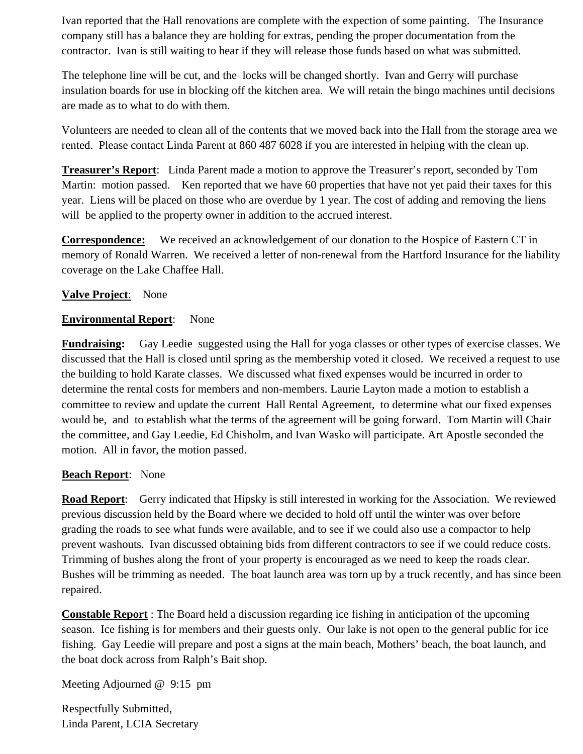Ivan reported that the Hall renovations are complete with the expection of some painting. The Insurance company still has a balance they are holding for extras, pending the proper documentation from the contractor. Ivan is still waiting to hear if they will release those funds based on what was submitted.

The telephone line will be cut, and the locks will be changed shortly. Ivan and Gerry will purchase insulation boards for use in blocking off the kitchen area. We will retain the bingo machines until decisions are made as to what to do with them.

Volunteers are needed to clean all of the contents that we moved back into the Hall from the storage area we rented. Please contact Linda Parent at 860 487 6028 if you are interested in helping with the clean up.

**Treasurer's Report**: Linda Parent made a motion to approve the Treasurer's report, seconded by Tom Martin: motion passed. Ken reported that we have 60 properties that have not yet paid their taxes for this year. Liens will be placed on those who are overdue by 1 year. The cost of adding and removing the liens will be applied to the property owner in addition to the accrued interest.

**Correspondence:** We received an acknowledgement of our donation to the Hospice of Eastern CT in memory of Ronald Warren. We received a letter of non-renewal from the Hartford Insurance for the liability coverage on the Lake Chaffee Hall.

#### **Valve Project**: None

#### **Environmental Report**: None

**Fundraising:** Gay Leedie suggested using the Hall for yoga classes or other types of exercise classes. We discussed that the Hall is closed until spring as the membership voted it closed. We received a request to use the building to hold Karate classes. We discussed what fixed expenses would be incurred in order to determine the rental costs for members and non-members. Laurie Layton made a motion to establish a committee to review and update the current Hall Rental Agreement, to determine what our fixed expenses would be, and to establish what the terms of the agreement will be going forward. Tom Martin will Chair the committee, and Gay Leedie, Ed Chisholm, and Ivan Wasko will participate. Art Apostle seconded the motion. All in favor, the motion passed.

### **Beach Report**: None

**Road Report**: Gerry indicated that Hipsky is still interested in working for the Association. We reviewed previous discussion held by the Board where we decided to hold off until the winter was over before grading the roads to see what funds were available, and to see if we could also use a compactor to help prevent washouts. Ivan discussed obtaining bids from different contractors to see if we could reduce costs. Trimming of bushes along the front of your property is encouraged as we need to keep the roads clear. Bushes will be trimming as needed. The boat launch area was torn up by a truck recently, and has since been repaired.

**Constable Report** : The Board held a discussion regarding ice fishing in anticipation of the upcoming season. Ice fishing is for members and their guests only. Our lake is not open to the general public for ice fishing. Gay Leedie will prepare and post a signs at the main beach, Mothers' beach, the boat launch, and the boat dock across from Ralph's Bait shop.

Meeting Adjourned @ 9:15 pm

Respectfully Submitted, Linda Parent, LCIA Secretary